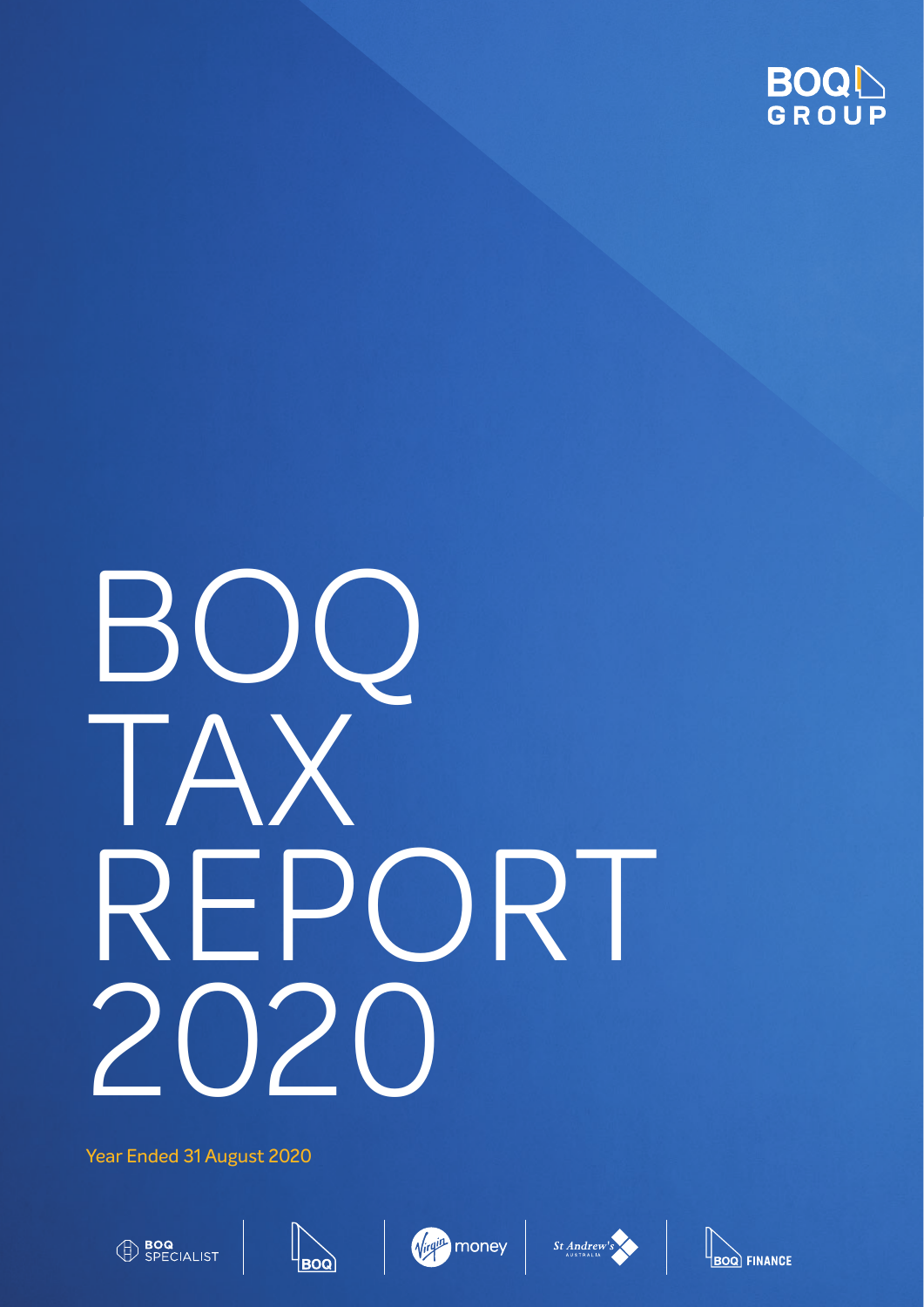

# BOQ TAX REPORT<br>2020 **120**

Year Ended 31 August 2020











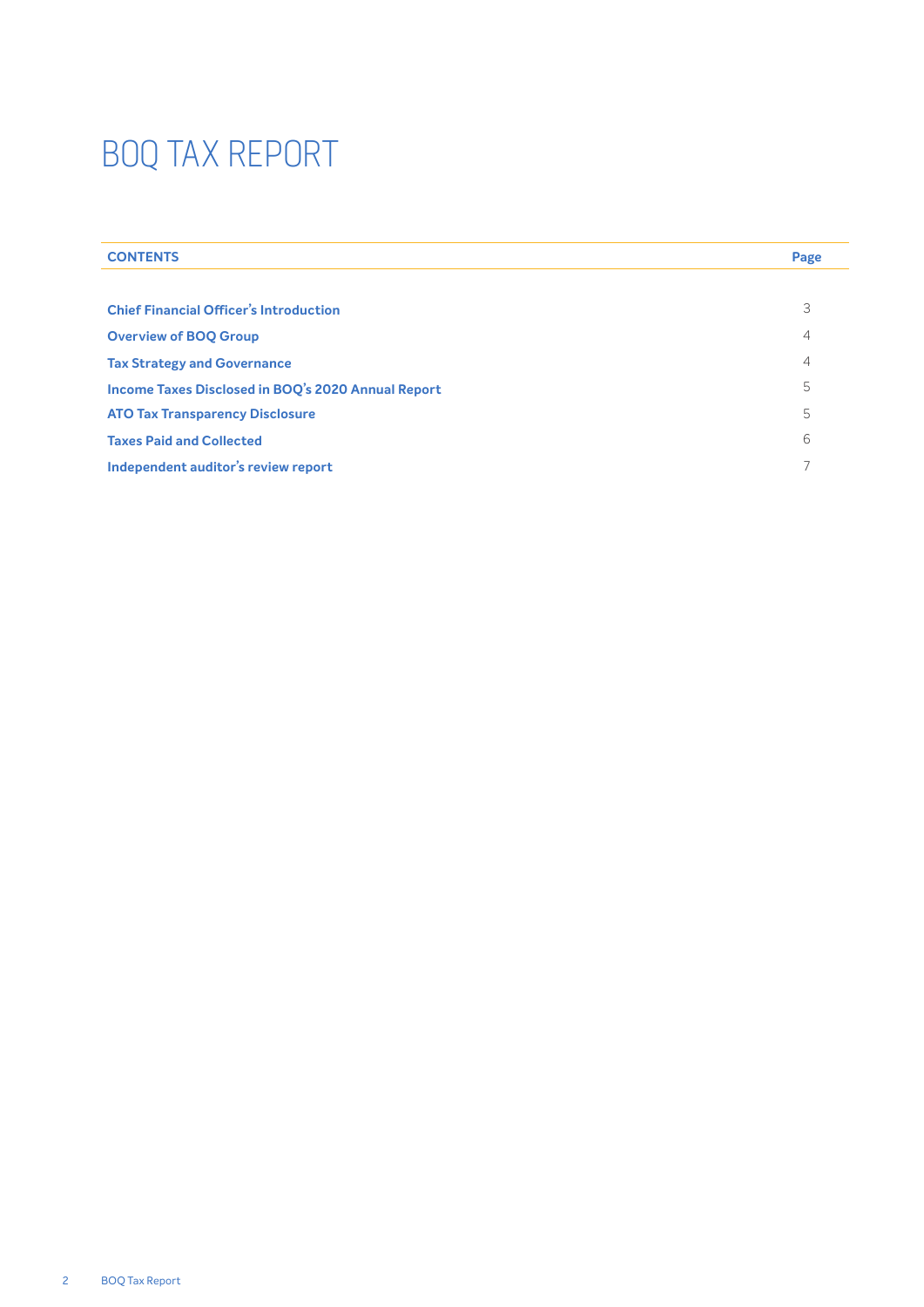| <b>CONTENTS</b>                                    | Page           |
|----------------------------------------------------|----------------|
|                                                    |                |
| <b>Chief Financial Officer's Introduction</b>      | 3              |
| <b>Overview of BOO Group</b>                       | 4              |
| <b>Tax Strategy and Governance</b>                 | $\overline{4}$ |
| Income Taxes Disclosed in BOQ's 2020 Annual Report | 5              |
| <b>ATO Tax Transparency Disclosure</b>             | 5              |
| <b>Taxes Paid and Collected</b>                    | 6              |
| Independent auditor's review report                |                |
|                                                    |                |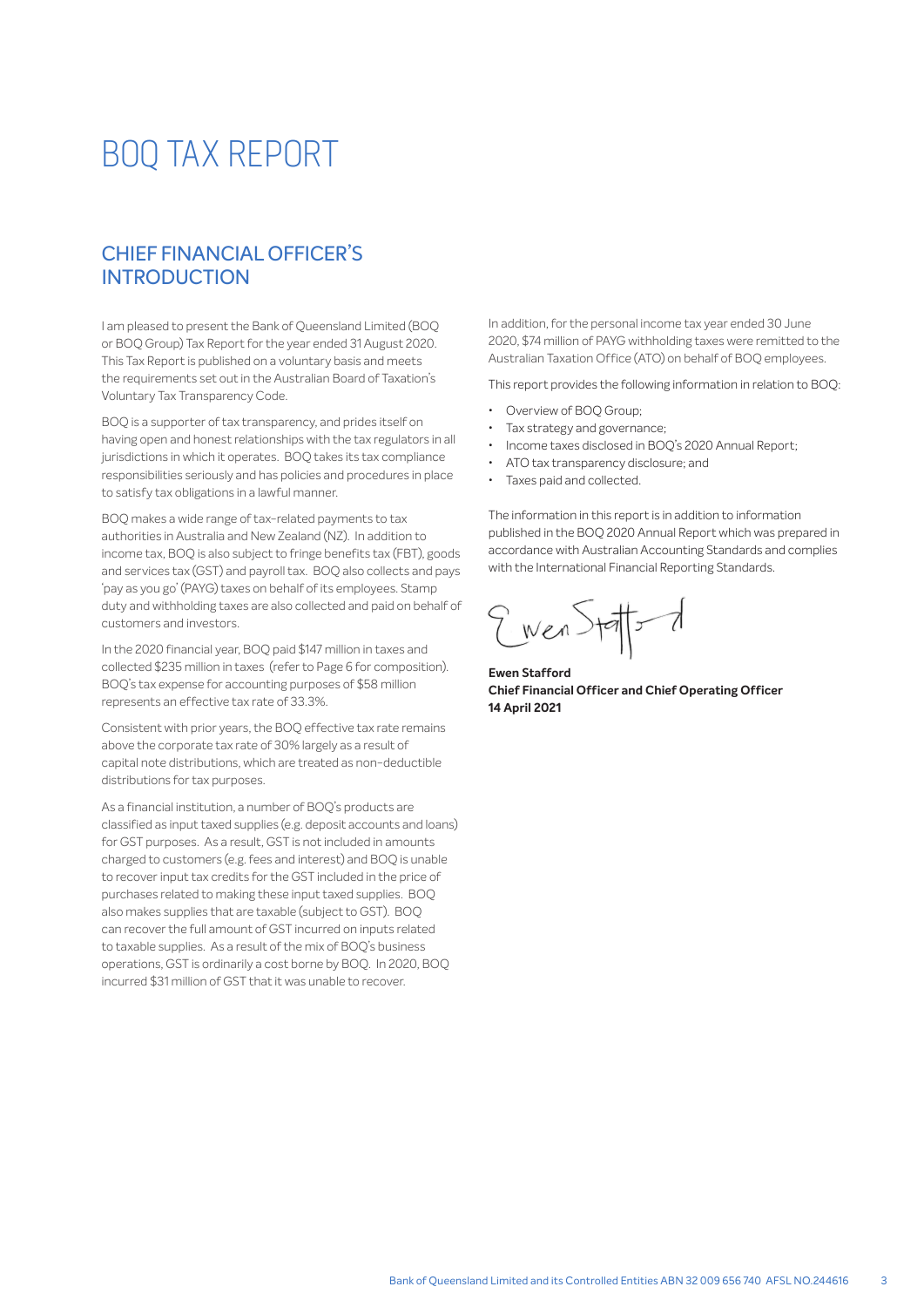## CHIEF FINANCIAL OFFICER'S **INTRODUCTION**

I am pleased to present the Bank of Queensland Limited (BOQ or BOQ Group) Tax Report for the year ended 31 August 2020. This Tax Report is published on a voluntary basis and meets the requirements set out in the Australian Board of Taxation's Voluntary Tax Transparency Code.

BOQ is a supporter of tax transparency, and prides itself on having open and honest relationships with the tax regulators in all jurisdictions in which it operates. BOQ takes its tax compliance responsibilities seriously and has policies and procedures in place to satisfy tax obligations in a lawful manner.

BOQ makes a wide range of tax-related payments to tax authorities in Australia and New Zealand (NZ). In addition to income tax, BOQ is also subject to fringe benefits tax (FBT), goods and services tax (GST) and payroll tax. BOQ also collects and pays 'pay as you go' (PAYG) taxes on behalf of its employees. Stamp duty and withholding taxes are also collected and paid on behalf of customers and investors.

In the 2020 financial year, BOQ paid \$147 million in taxes and collected \$235 million in taxes (refer to Page 6 for composition). BOQ's tax expense for accounting purposes of \$58 million represents an effective tax rate of 33.3%.

Consistent with prior years, the BOQ effective tax rate remains above the corporate tax rate of 30% largely as a result of capital note distributions, which are treated as non-deductible distributions for tax purposes.

As a financial institution, a number of BOQ's products are classified as input taxed supplies (e.g. deposit accounts and loans) for GST purposes. As a result, GST is not included in amounts charged to customers (e.g. fees and interest) and BOQ is unable to recover input tax credits for the GST included in the price of purchases related to making these input taxed supplies. BOQ also makes supplies that are taxable (subject to GST). BOQ can recover the full amount of GST incurred on inputs related to taxable supplies. As a result of the mix of BOQ's business operations, GST is ordinarily a cost borne by BOQ. In 2020, BOQ incurred \$31 million of GST that it was unable to recover.

In addition, for the personal income tax year ended 30 June 2020, \$74 million of PAYG withholding taxes were remitted to the Australian Taxation Office (ATO) on behalf of BOQ employees.

This report provides the following information in relation to BOQ:

- Overview of BOO Group:
- Tax strategy and governance;
- Income taxes disclosed in BOQ's 2020 Annual Report;
- ATO tax transparency disclosure; and
- Taxes paid and collected.

The information in this report is in addition to information published in the BOQ 2020 Annual Report which was prepared in accordance with Australian Accounting Standards and complies with the International Financial Reporting Standards.

wen Statter t

**Ewen Stafford Chief Financial Officer and Chief Operating Officer 14 April 2021**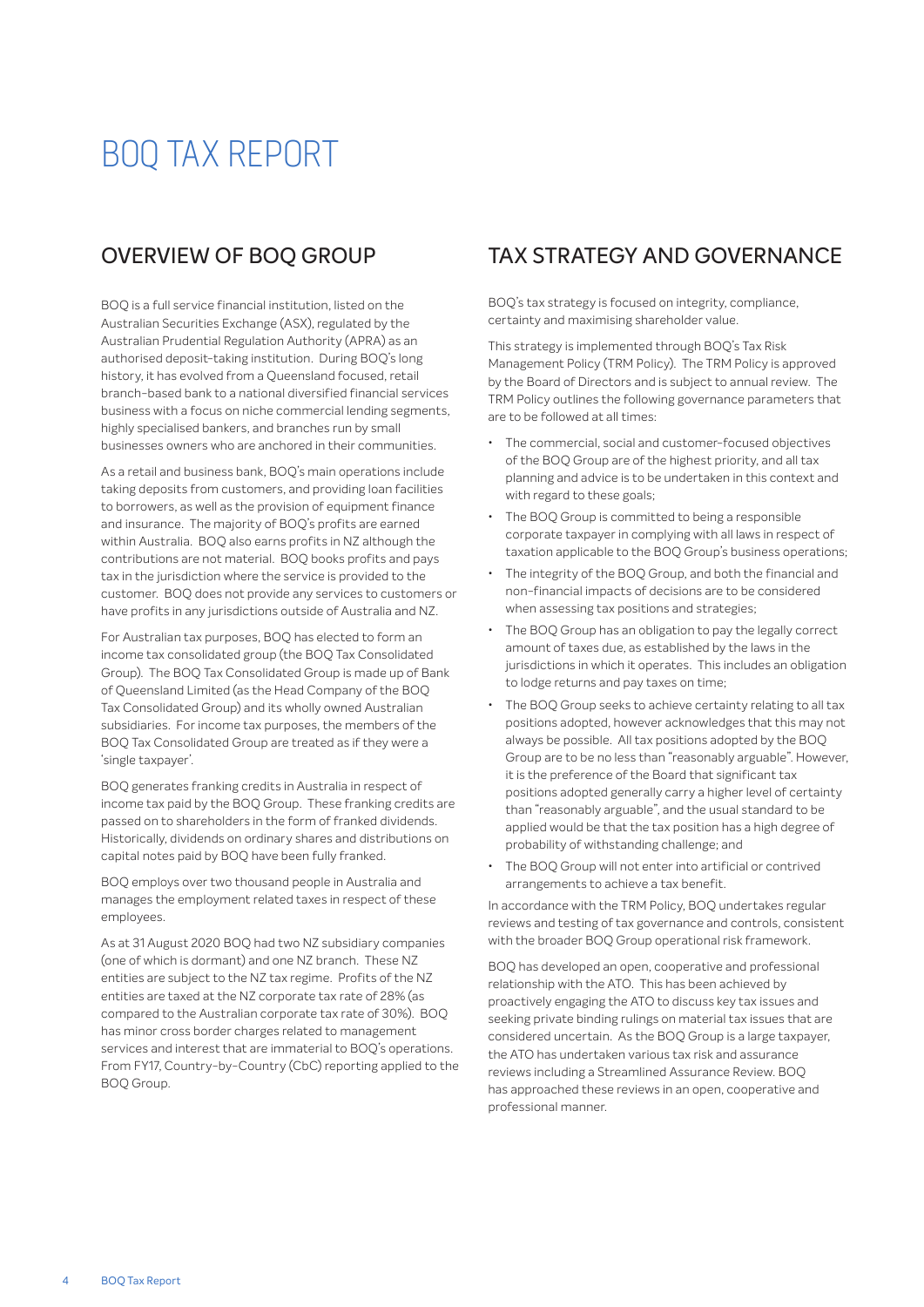## OVERVIEW OF BOQ GROUP

BOQ is a full service financial institution, listed on the Australian Securities Exchange (ASX), regulated by the Australian Prudential Regulation Authority (APRA) as an authorised deposit-taking institution. During BOQ's long history, it has evolved from a Queensland focused, retail branch-based bank to a national diversified financial services business with a focus on niche commercial lending segments, highly specialised bankers, and branches run by small businesses owners who are anchored in their communities.

As a retail and business bank, BOQ's main operations include taking deposits from customers, and providing loan facilities to borrowers, as well as the provision of equipment finance and insurance. The majority of BOQ's profits are earned within Australia. BOQ also earns profits in NZ although the contributions are not material. BOQ books profits and pays tax in the jurisdiction where the service is provided to the customer. BOQ does not provide any services to customers or have profits in any jurisdictions outside of Australia and NZ.

For Australian tax purposes, BOQ has elected to form an income tax consolidated group (the BOQ Tax Consolidated Group). The BOQ Tax Consolidated Group is made up of Bank of Queensland Limited (as the Head Company of the BOQ Tax Consolidated Group) and its wholly owned Australian subsidiaries. For income tax purposes, the members of the BOQ Tax Consolidated Group are treated as if they were a 'single taxpayer'.

BOQ generates franking credits in Australia in respect of income tax paid by the BOQ Group. These franking credits are passed on to shareholders in the form of franked dividends. Historically, dividends on ordinary shares and distributions on capital notes paid by BOQ have been fully franked.

BOQ employs over two thousand people in Australia and manages the employment related taxes in respect of these employees.

As at 31 August 2020 BOQ had two NZ subsidiary companies (one of which is dormant) and one NZ branch. These NZ entities are subject to the NZ tax regime. Profits of the NZ entities are taxed at the NZ corporate tax rate of 28% (as compared to the Australian corporate tax rate of 30%). BOQ has minor cross border charges related to management services and interest that are immaterial to BOQ's operations. From FY17, Country-by-Country (CbC) reporting applied to the BOQ Group.

## TAX STRATEGY AND GOVERNANCE

BOQ's tax strategy is focused on integrity, compliance, certainty and maximising shareholder value.

This strategy is implemented through BOQ's Tax Risk Management Policy (TRM Policy). The TRM Policy is approved by the Board of Directors and is subject to annual review. The TRM Policy outlines the following governance parameters that are to be followed at all times:

- The commercial, social and customer-focused objectives of the BOQ Group are of the highest priority, and all tax planning and advice is to be undertaken in this context and with regard to these goals;
- The BOQ Group is committed to being a responsible corporate taxpayer in complying with all laws in respect of taxation applicable to the BOQ Group's business operations;
- The integrity of the BOO Group, and both the financial and non-financial impacts of decisions are to be considered when assessing tax positions and strategies;
- The BOQ Group has an obligation to pay the legally correct amount of taxes due, as established by the laws in the jurisdictions in which it operates. This includes an obligation to lodge returns and pay taxes on time;
- The BOQ Group seeks to achieve certainty relating to all tax positions adopted, however acknowledges that this may not always be possible. All tax positions adopted by the BOQ Group are to be no less than "reasonably arguable". However, it is the preference of the Board that significant tax positions adopted generally carry a higher level of certainty than "reasonably arguable", and the usual standard to be applied would be that the tax position has a high degree of probability of withstanding challenge; and
- The BOO Group will not enter into artificial or contrived arrangements to achieve a tax benefit.

In accordance with the TRM Policy, BOQ undertakes regular reviews and testing of tax governance and controls, consistent with the broader BOQ Group operational risk framework.

BOQ has developed an open, cooperative and professional relationship with the ATO. This has been achieved by proactively engaging the ATO to discuss key tax issues and seeking private binding rulings on material tax issues that are considered uncertain. As the BOQ Group is a large taxpayer, the ATO has undertaken various tax risk and assurance reviews including a Streamlined Assurance Review. BOQ has approached these reviews in an open, cooperative and professional manner.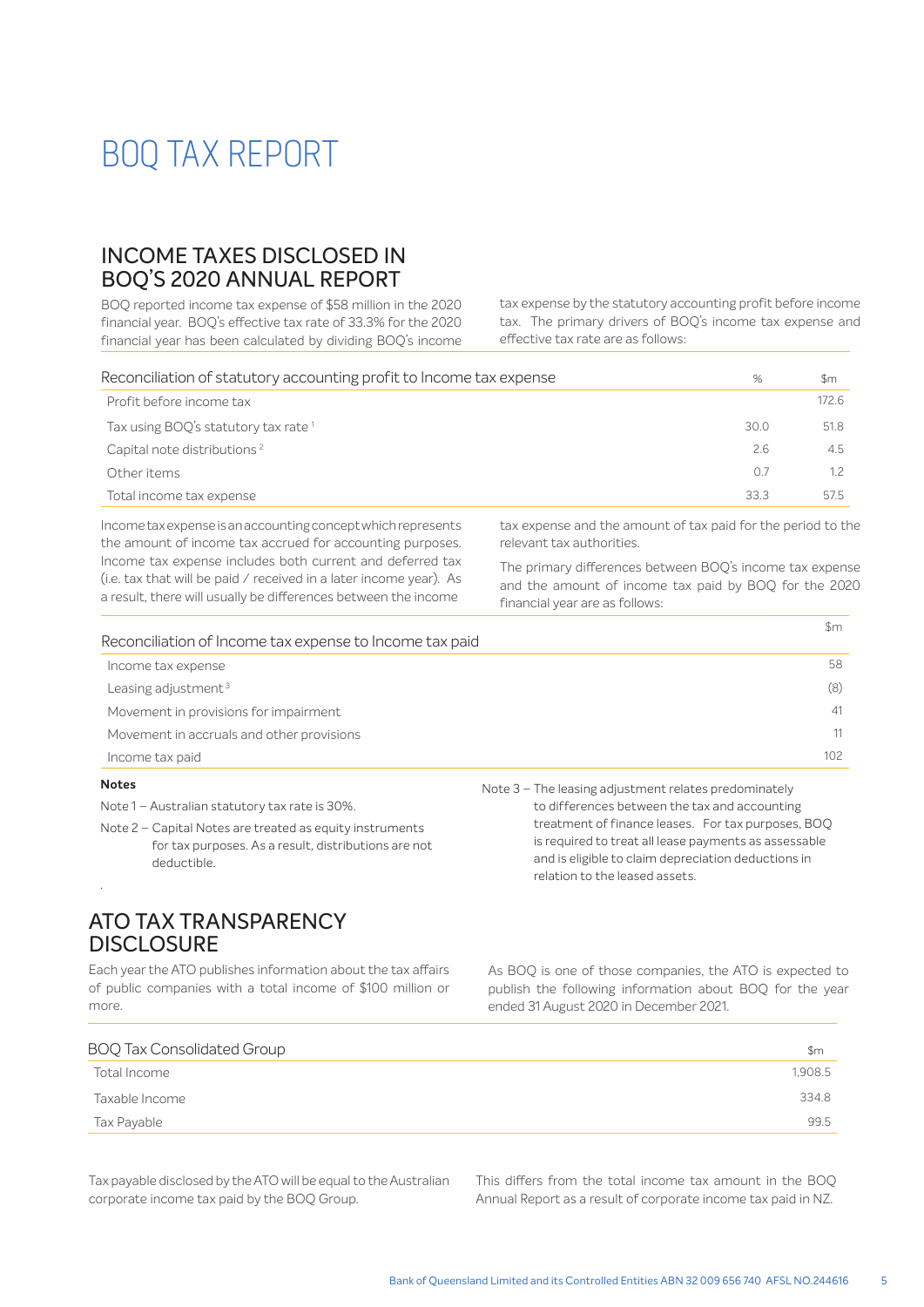## INCOME TAXES DISCLOSED IN BOQ'S 2020 ANNUAL REPORT

BOQ reported income tax expense of \$58 million in the 2020 financial year. BOO's effective tax rate of 33.3% for the 2020 financial year has been calculated by dividing BOQ's income tax expense by the statutory accounting profit before income tax. The primary drivers of BOQ's income tax expense and effective tax rate are as follows:

| Reconciliation of statutory accounting profit to Income tax expense | %    | \$m   |
|---------------------------------------------------------------------|------|-------|
| Profit before income tax                                            |      | 172.6 |
| Tax using BOQ's statutory tax rate <sup>1</sup>                     | 30.0 | 51.8  |
| Capital note distributions <sup>2</sup>                             | 2.6  | 4.5   |
| Other items                                                         | 07   | 1.2   |
| Total income tax expense                                            | 33.3 | 57.5  |
|                                                                     |      |       |

Income tax expense is an accounting concept which represents the amount of income tax accrued for accounting purposes. Income tax expense includes both current and deferred tax (i.e. tax that will be paid / received in a later income year). As a result, there will usually be differences between the income

tax expense and the amount of tax paid for the period to the relevant tax authorities.

The primary differences between BOQ's income tax expense and the amount of income tax paid by BOQ for the 2020 financial year are as follows:

 $\uparrow$ 

| Reconciliation of Income tax expense to Income tax paid | - <del>11</del> |
|---------------------------------------------------------|-----------------|
| Income tax expense                                      | 58              |
| Leasing adjustment <sup>3</sup>                         | (8)             |
| Movement in provisions for impairment                   | 41              |
| Movement in accruals and other provisions               | 11              |
| Income tax paid                                         | 102             |

#### **Notes**

.

Note 1 – Australian statutory tax rate is 30%.

Note 2 – Capital Notes are treated as equity instruments for tax purposes. As a result, distributions are not deductible.

## ATO TAX TRANSPARENCY **DISCLOSURE**

Each year the ATO publishes information about the tax affairs of public companies with a total income of \$100 million or more.

 Note 3 – The leasing adjustment relates predominately to differences between the tax and accounting treatment of finance leases. For tax purposes, BOQ is required to treat all lease payments as assessable and is eligible to claim depreciation deductions in relation to the leased assets.

As BOQ is one of those companies, the ATO is expected to publish the following information about BOQ for the year ended 31 August 2020 in December 2021.

| <b>BOQ Tax Consolidated Group</b> | \$m     |
|-----------------------------------|---------|
| Total Income                      | 1,908.5 |
| Taxable Income                    | 334.8   |
| Tax Payable                       | 99.5    |
|                                   |         |

Tax payable disclosed by the ATO will be equal to the Australian corporate income tax paid by the BOQ Group.

This differs from the total income tax amount in the BOQ Annual Report as a result of corporate income tax paid in NZ.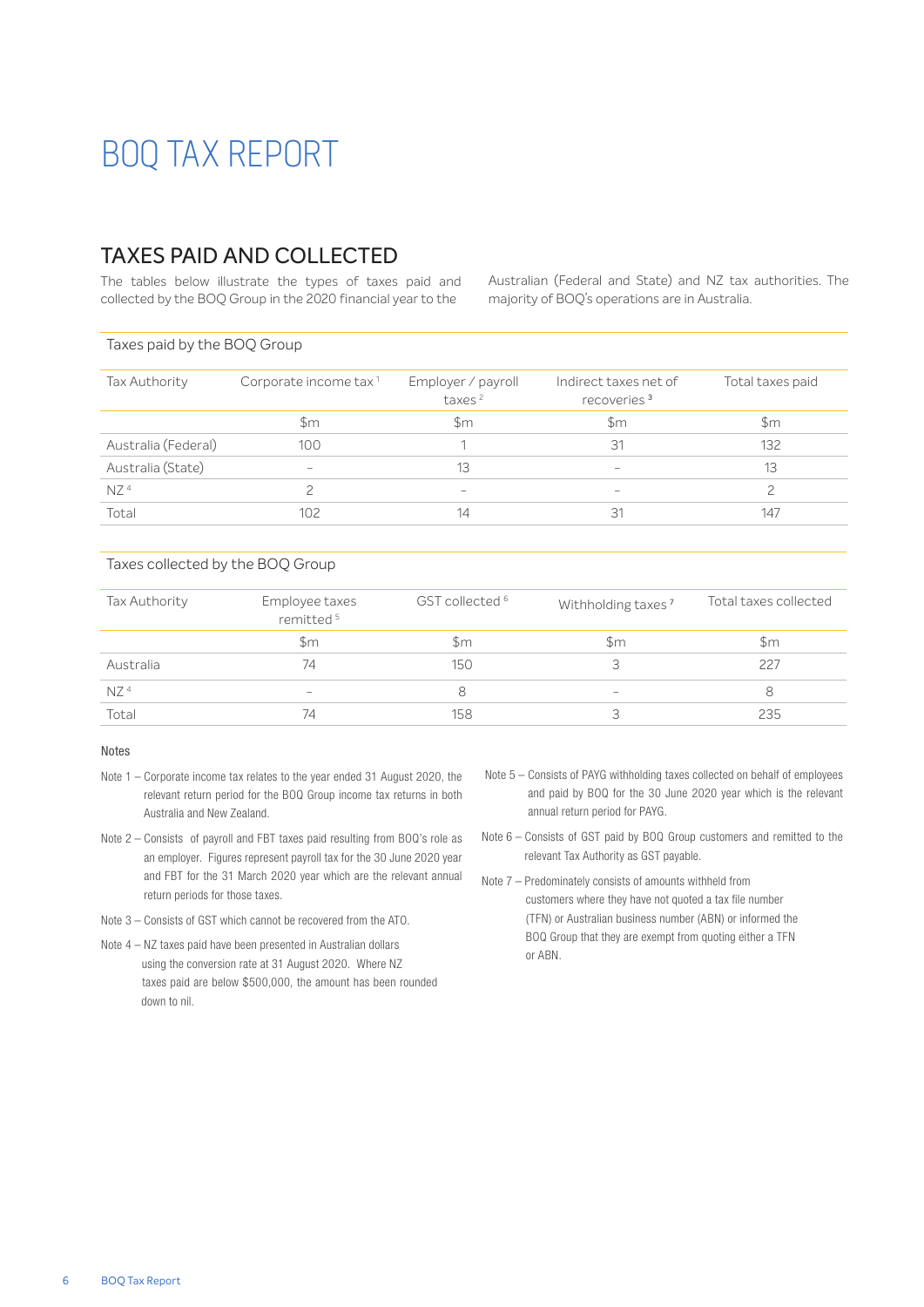## TAXES PAID AND COLLECTED

The tables below illustrate the types of taxes paid and collected by the BOQ Group in the 2020 financial year to the

Australian (Federal and State) and NZ tax authorities. The majority of BOQ's operations are in Australia.

#### Taxes paid by the BOQ Group

| Corporate income tax <sup>1</sup> | Employer / payroll<br>taxes <sup>2</sup> | Indirect taxes net of<br>recoveries <sup>3</sup> | Total taxes paid |
|-----------------------------------|------------------------------------------|--------------------------------------------------|------------------|
| $\mathsf{Sm}$                     | Sm                                       | \$m                                              | \$m              |
| 100                               |                                          | 31                                               | 132              |
| $\qquad \qquad$                   | 13                                       | $\hspace{0.1mm}-\hspace{0.1mm}$                  | 13               |
|                                   | $\hspace{0.1mm}-\hspace{0.1mm}$          | $\sim$                                           |                  |
| 102                               | 14                                       | 31                                               | 147              |
|                                   |                                          |                                                  |                  |

#### Taxes collected by the BOQ Group

| Tax Authority   | Employee taxes<br>remitted <sup>5</sup> | GST collected <sup>6</sup> | Withholding taxes <sup>7</sup> | Total taxes collected |
|-----------------|-----------------------------------------|----------------------------|--------------------------------|-----------------------|
|                 | $\mathsf{Sm}$                           | \$m                        | Sm.                            | $\mathsf{Sm}$         |
| Australia       | 74                                      | 150                        |                                | 227                   |
| NZ <sup>4</sup> | $\hspace{0.1mm}-\hspace{0.1mm}$         | 8                          | $\hspace{0.05cm}$              |                       |
| Total           | 74                                      | 158                        |                                | 235                   |

#### Notes

- Note 1 Corporate income tax relates to the year ended 31 August 2020, the relevant return period for the BOQ Group income tax returns in both Australia and New Zealand.
- Note 2 Consists of payroll and FBT taxes paid resulting from BOQ's role as an employer. Figures represent payroll tax for the 30 June 2020 year and FBT for the 31 March 2020 year which are the relevant annual return periods for those taxes.
- Note 3 Consists of GST which cannot be recovered from the ATO.
- Note 4 NZ taxes paid have been presented in Australian dollars using the conversion rate at 31 August 2020. Where NZ taxes paid are below \$500,000, the amount has been rounded down to nil.
- Note 5 Consists of PAYG withholding taxes collected on behalf of employees and paid by BOQ for the 30 June 2020 year which is the relevant annual return period for PAYG.
- Note 6 Consists of GST paid by BOQ Group customers and remitted to the relevant Tax Authority as GST payable.
- Note 7 Predominately consists of amounts withheld from customers where they have not quoted a tax file number (TFN) or Australian business number (ABN) or informed the BOQ Group that they are exempt from quoting either a TFN or ABN.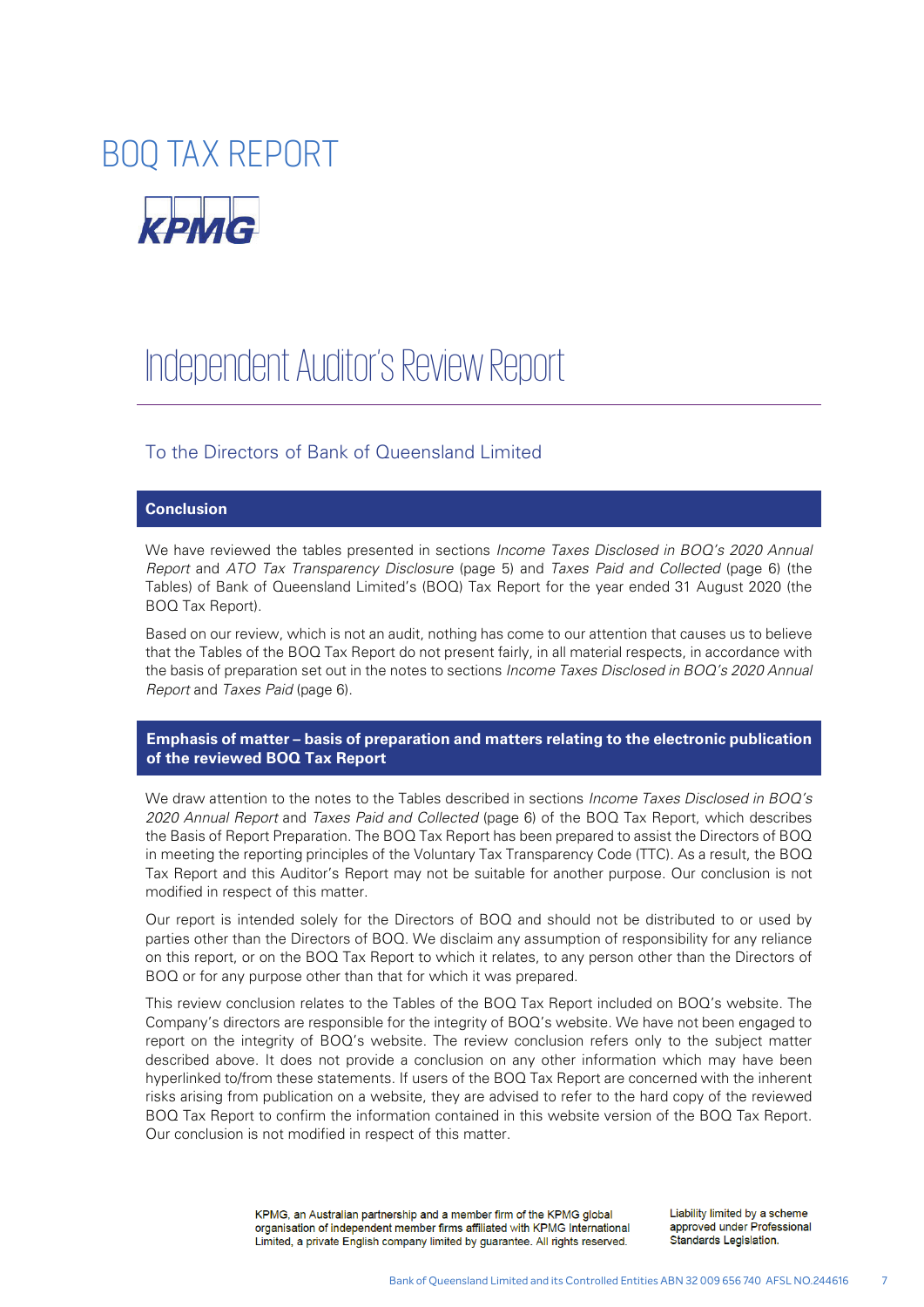

# Independent Auditor's Review Report

### To the Directors of Bank of Queensland Limited

#### **Conclusion**

We have reviewed the tables presented in sections *Income Taxes Disclosed in BOQ's 2020 Annual Report* and *ATO Tax Transparency Disclosure* (page 5) and *Taxes Paid and Collected* (page 6) (the Tables) of Bank of Queensland Limited's (BOQ) Tax Report for the year ended 31 August 2020 (the BOQ Tax Report).

Based on our review, which is not an audit, nothing has come to our attention that causes us to believe that the Tables of the BOQ Tax Report do not present fairly, in all material respects, in accordance with the basis of preparation set out in the notes to sections *Income Taxes Disclosed in BOQ's 2020 Annual Report* and *Taxes Paid* (page 6).

#### **Emphasis of matter – basis of preparation and matters relating to the electronic publication of the reviewed BOQ Tax Report**

We draw attention to the notes to the Tables described in sections *Income Taxes Disclosed in BOQ's 2020 Annual Report* and *Taxes Paid and Collected* (page 6) of the BOQ Tax Report, which describes the Basis of Report Preparation. The BOQ Tax Report has been prepared to assist the Directors of BOQ in meeting the reporting principles of the Voluntary Tax Transparency Code (TTC). As a result, the BOQ Tax Report and this Auditor's Report may not be suitable for another purpose. Our conclusion is not modified in respect of this matter.

Our report is intended solely for the Directors of BOQ and should not be distributed to or used by parties other than the Directors of BOQ. We disclaim any assumption of responsibility for any reliance on this report, or on the BOQ Tax Report to which it relates, to any person other than the Directors of BOQ or for any purpose other than that for which it was prepared.

This review conclusion relates to the Tables of the BOQ Tax Report included on BOQ's website. The Company's directors are responsible for the integrity of BOQ's website. We have not been engaged to report on the integrity of BOQ's website. The review conclusion refers only to the subject matter described above. It does not provide a conclusion on any other information which may have been hyperlinked to/from these statements. If users of the BOQ Tax Report are concerned with the inherent risks arising from publication on a website, they are advised to refer to the hard copy of the reviewed BOQ Tax Report to confirm the information contained in this website version of the BOQ Tax Report. Our conclusion is not modified in respect of this matter.

> KPMG, an Australian partnership and a member firm of the KPMG global organisation of independent member firms affiliated with KPMG International Limited, a private English company limited by guarantee. All rights reserved.

Liability limited by a scheme approved under Professional Standards Legislation.